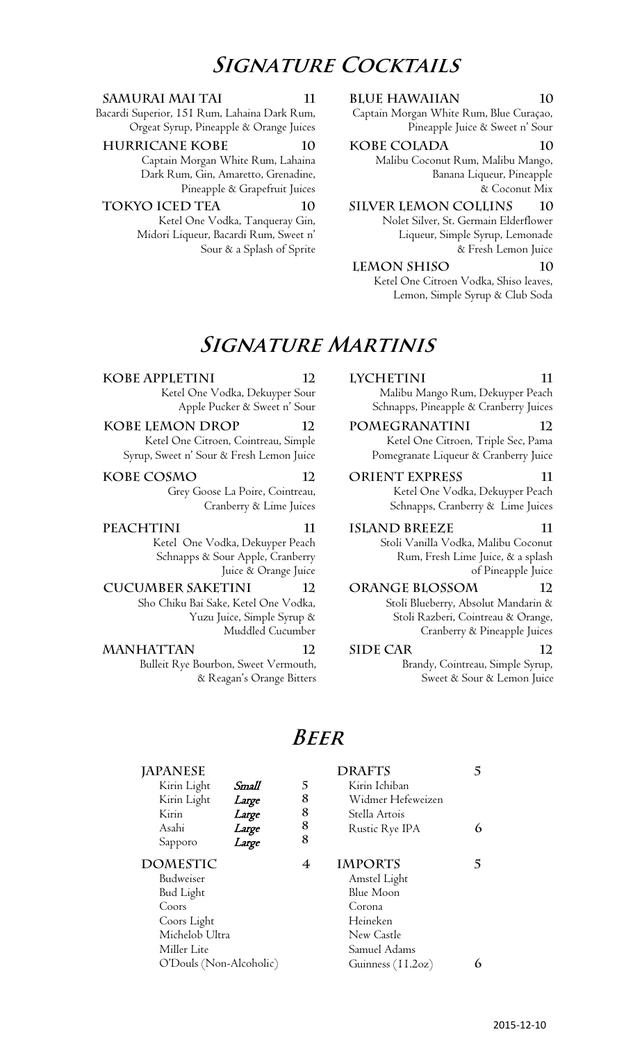# **Signature Cocktails**

Bacardi Superior, 151 Rum, Lahaina Dark Rum, Orgeat Syrup, Pineapple & Orange Juices

**Hurricane Kobe 10 Kobe Colada 10**

Captain Morgan White Rum, Lahaina Dark Rum, Gin, Amaretto, Grenadine, Pineapple & Grapefruit Juices

Ketel One Vodka, Tanqueray Gin, Midori Liqueur, Bacardi Rum, Sweet n' Sour & a Splash of Sprite

**Samurai Mai Tai 11 Blue Hawaiian 10**

Captain Morgan White Rum, Blue Curaçao, Pineapple Juice & Sweet n' Sour

Malibu Coconut Rum, Malibu Mango, Banana Liqueur, Pineapple & Coconut Mix

**Tokyo Iced Tea 10 Silver Lemon Collins 10** Nolet Silver, St. Germain Elderflower Liqueur, Simple Syrup, Lemonade & Fresh Lemon Juice

> **Lemon Shiso 10** Ketel One Citroen Vodka, Shiso leaves, Lemon, Simple Syrup & Club Soda

# **Signature Martinis**

### **Kobe Appletini 12 Lychetini 11**

Ketel One Vodka, Dekuyper Sour Apple Pucker & Sweet n' Sour

## **Kobe Lemon Drop 12 Pomegranatini 12**

Ketel One Citroen, Cointreau, Simple Syrup, Sweet n' Sour & Fresh Lemon Juice

**Kobe Cosmo 12 Orient Express 11** Grey Goose La Poire, Cointreau,

Cranberry & Lime Juices

Ketel One Vodka, Dekuyper Peach Schnapps & Sour Apple, Cranberry Juice & Orange Juice

### **Cucumber Saketini 12 Orange Blossom 12**

Sho Chiku Bai Sake, Ketel One Vodka, Yuzu Juice, Simple Syrup & Muddled Cucumber

### **MANHATTAN** 12 **SIDE CAR** 12 Bulleit Rye Bourbon, Sweet Vermouth,

& Reagan's Orange Bitters

Malibu Mango Rum, Dekuyper Peach Schnapps, Pineapple & Cranberry Juices

Ketel One Citroen, Triple Sec, Pama Pomegranate Liqueur & Cranberry Juice

Ketel One Vodka, Dekuyper Peach Schnapps, Cranberry & Lime Juices

**Peachtini 11 Island Breeze 11**

Stoli Vanilla Vodka, Malibu Coconut Rum, Fresh Lime Juice, & a splash of Pineapple Juice

## Stoli Blueberry, Absolut Mandarin & Stoli Razberi, Cointreau & Orange, Cranberry & Pineapple Juices

Brandy, Cointreau, Simple Syrup, Sweet & Sour & Lemon Juice

## **Beer**

| <b>JAPANESE</b>         |       |   | <b>DRAFTS</b>     |   |
|-------------------------|-------|---|-------------------|---|
| Kirin Light             | Small | 5 | Kirin Ichiban     |   |
| Kirin Light             | Large | 8 | Widmer Hefeweizen |   |
| Kirin                   | Large | 8 | Stella Artois     |   |
| Asahi                   | Large | 8 | Rustic Rye IPA    | 6 |
| Sapporo                 | Large | 8 |                   |   |
| <b>DOMESTIC</b>         |       | 4 | <b>IMPORTS</b>    | 5 |
| Budweiser               |       |   | Amstel Light      |   |
| <b>Bud Light</b>        |       |   | Blue Moon         |   |
| Coors<br>Corona         |       |   |                   |   |
| Coors Light             |       |   | Heineken          |   |
| Michelob Ultra          |       |   | New Castle        |   |
| Miller Lite             |       |   | Samuel Adams      |   |
| O'Douls (Non-Alcoholic) |       |   | Guinness (11.2oz) |   |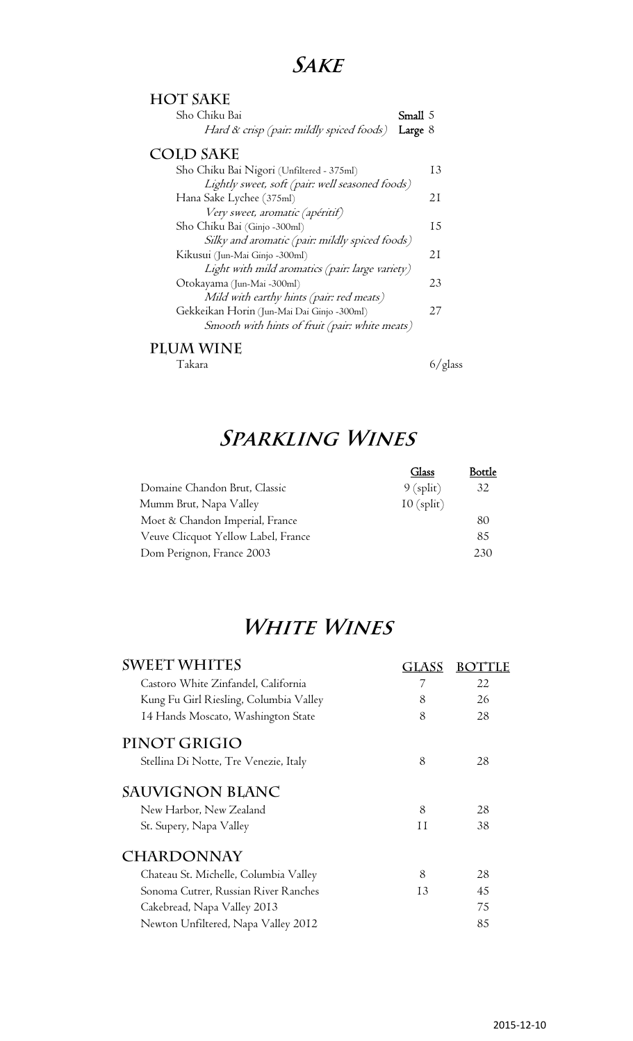# **Sake**

| <b>HOT SAKE</b>                                 |           |
|-------------------------------------------------|-----------|
| Sho Chiku Bai                                   | Small 5   |
| Hard & crisp (pair: mildly spiced foods)        | Large $8$ |
| <b>COLD SAKE</b>                                |           |
| Sho Chiku Bai Nigori (Unfiltered - 375ml)       | 13        |
| Lightly sweet, soft (pair: well seasoned foods) |           |
| Hana Sake Lychee (375ml)                        | 21        |
| Very sweet, aromatic (apéritif)                 |           |
| Sho Chiku Bai (Ginjo -300ml)                    | 15        |
| Silky and aromatic (pair: mildly spiced foods)  |           |
| Kikusui (Jun-Mai Ginjo -300ml)                  | 21        |
| Light with mild aromatics (pair: large variety) |           |
| Otokayama (Jun-Mai -300ml)                      | 23        |
| Mild with earthy hints (pair: red meats)        |           |
| Gekkeikan Horin (Jun-Mai Dai Ginjo -300ml)      | 27        |
| Smooth with hints of fruit (pair: white meats)  |           |
| I AA AX/I N                                     |           |

**Plum Wine** 

Takara 6/glass

# **Sparkling Wines**

|                                     | Glass        | <b>Bottle</b> |
|-------------------------------------|--------------|---------------|
| Domaine Chandon Brut, Classic       | $9$ (split)  | 32            |
| Mumm Brut, Napa Valley              | $10$ (split) |               |
| Moet & Chandon Imperial, France     |              | 80            |
| Veuve Clicquot Yellow Label, France |              | 85            |
| Dom Perignon, France 2003           |              | 2.30          |

# **White Wines**

| <b>SWEET WHITES</b>                    | <b>GLASS</b> | ВO |
|----------------------------------------|--------------|----|
| Castoro White Zinfandel, California    | 7            | 22 |
| Kung Fu Girl Riesling, Columbia Valley | 8            | 26 |
| 14 Hands Moscato, Washington State     | 8            | 28 |
| PINOT GRIGIO                           |              |    |
| Stellina Di Notte, Tre Venezie, Italy  | 8            | 28 |
| <b>SAUVIGNON BLANC</b>                 |              |    |
| New Harbor, New Zealand                | 8            | 28 |
| St. Supery, Napa Valley                | Ħ            | 38 |
| <b>CHARDONNAY</b>                      |              |    |
| Chateau St. Michelle, Columbia Valley  | 8            | 28 |
| Sonoma Cutrer, Russian River Ranches   | 13           | 45 |
| Cakebread, Napa Valley 2013            |              | 75 |
| Newton Unfiltered, Napa Valley 2012    |              | 85 |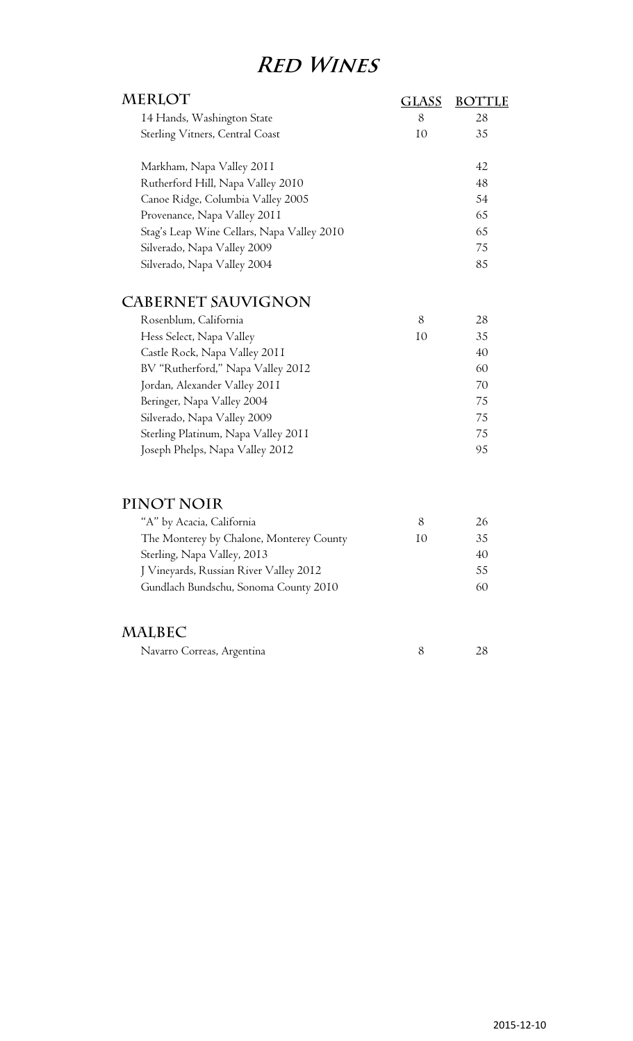# **Red Wines**

| MERLOT                                     |                |    |
|--------------------------------------------|----------------|----|
| 14 Hands, Washington State                 | 8              | 28 |
| Sterling Vitners, Central Coast            | I <sub>0</sub> | 35 |
| Markham, Napa Valley 2011                  |                | 42 |
| Rutherford Hill, Napa Valley 2010          |                | 48 |
| Canoe Ridge, Columbia Valley 2005          |                | 54 |
| Provenance, Napa Valley 2011               |                | 65 |
| Stag's Leap Wine Cellars, Napa Valley 2010 |                | 65 |
| Silverado, Napa Valley 2009                |                | 75 |
| Silverado, Napa Valley 2004                |                | 85 |
|                                            |                |    |

## **Cabernet Sauvignon**

| Rosenblum, California               | 8  | 28 |
|-------------------------------------|----|----|
| Hess Select, Napa Valley            | 10 | 35 |
| Castle Rock, Napa Valley 2011       |    | 40 |
| BV "Rutherford," Napa Valley 2012   |    | 60 |
| Jordan, Alexander Valley 2011       |    | 70 |
| Beringer, Napa Valley 2004          |    | 75 |
| Silverado, Napa Valley 2009         |    | 75 |
| Sterling Platinum, Napa Valley 2011 |    | 75 |
| Joseph Phelps, Napa Valley 2012     |    | 95 |

## **Pinot Noir**

| "A" by Acacia, California                |                          | 26. |
|------------------------------------------|--------------------------|-----|
| The Monterey by Chalone, Monterey County | $\mathbf{I}(\mathbf{I})$ | 35  |
| Sterling, Napa Valley, 2013              |                          | 40  |
| J Vineyards, Russian River Valley 2012   |                          | 55. |
| Gundlach Bundschu, Sonoma County 2010    |                          | 60  |

## **Malbec**

| Navarro Correas, Argentina |  |  |
|----------------------------|--|--|
|----------------------------|--|--|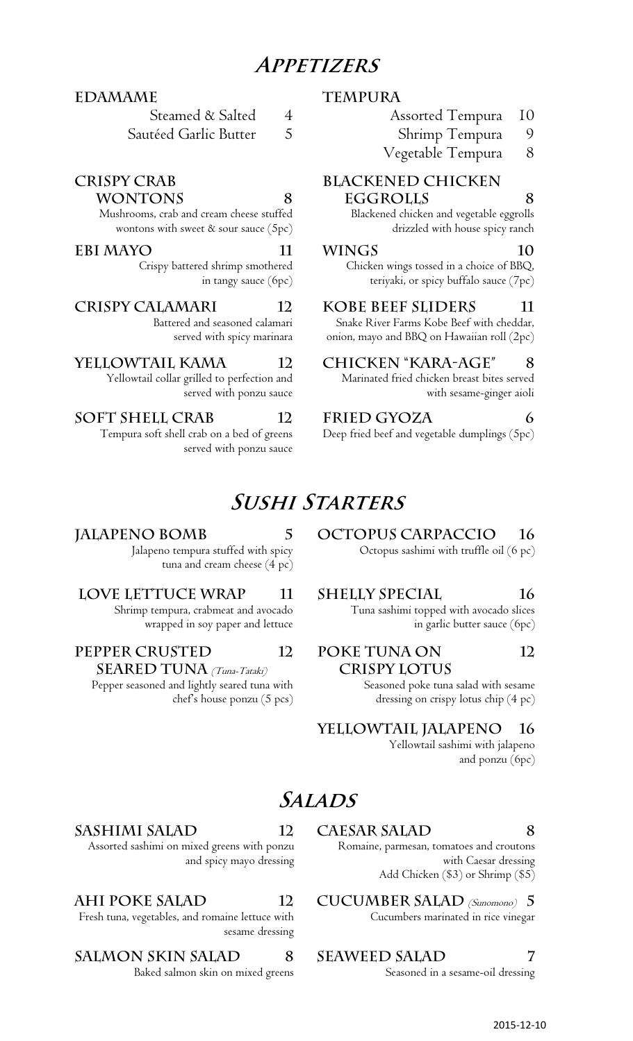# **Appetizers**

### **Edamame Tempura**

Steamed & Salted Sautéed Garlic Butter 4 5

### **Crispy Crab**

### **Wontons 8**

Mushrooms, crab and cream cheese stuffed wontons with sweet & sour sauce (5pc)

### **Ebi Mayo 11 Wings 10**

Crispy battered shrimp smothered in tangy sauce (6pc)

Battered and seasoned calamari served with spicy marinara

Yellowtail collar grilled to perfection and served with ponzu sauce

### **Soft shell Crab 12 Fried Gyoza 6**

Tempura soft shell crab on a bed of greens served with ponzu sauce

Jalapeno tempura stuffed with spicy

Shrimp tempura, crabmeat and avocado wrapped in soy paper and lettuce

tuna and cream cheese (4 pc)

# **Sushi Starters**

## **Jalapeno Bomb 5 Octopus Carpaccio 16**

Octopus sashimi with truffle oil (6 pc)

### LOVE LETTUCE WRAP 11 SHELLY SPECIAL 16

Tuna sashimi topped with avocado slices in garlic butter sauce (6pc)

 **crispy lotus 12**

> Seasoned poke tuna salad with sesame dressing on crispy lotus chip (4 pc)

**Yellowtail Jalapeno 16**

Yellowtail sashimi with jalapeno and ponzu (6pc)

# **Salads**

**12 Poke tuna on** 

### Romaine, parmesan, tomatoes and croutons with Caesar dressing Add Chicken (\$3) or Shrimp (\$5)

AHI POKE SALAD 12 CUCUMBER SALAD (Sunomono) 5 Cucumbers marinated in rice vinegar

Baked salmon skin on mixed greens Seasoned in a sesame-oil dressing

## **Sashimi Salad 12 Caesar Salad 8**

Assorted sashimi on mixed greens with ponzu and spicy mayo dressing

Fresh tuna, vegetables, and romaine lettuce with sesame dressing

## SALMON SKIN SALAD 8 SEAWEED SALAD 7

- Assorted Tempura 10
	- Shrimp Tempura 9
- Vegetable Tempura 8

## **Blackened Chicken**

### **eggrolls 8**

Blackened chicken and vegetable eggrolls drizzled with house spicy ranch

Chicken wings tossed in a choice of BBQ, teriyaki, or spicy buffalo sauce (7pc)

**crispy Calamari 12 Kobe Beef Sliders 11** 

Snake River Farms Kobe Beef with cheddar, onion, mayo and BBQ on Hawaiian roll (2pc)

## **Yellowtail kama 12 Chicken "Kara-age" 8**

Marinated fried chicken breast bites served with sesame-ginger aioli

Deep fried beef and vegetable dumplings (5pc)

## 2015‐12‐10

**Pepper crusted SEARED TUNA** *(Tuna-Tataki)* Pepper seasoned and lightly seared tuna with

chef's house ponzu (5 pcs)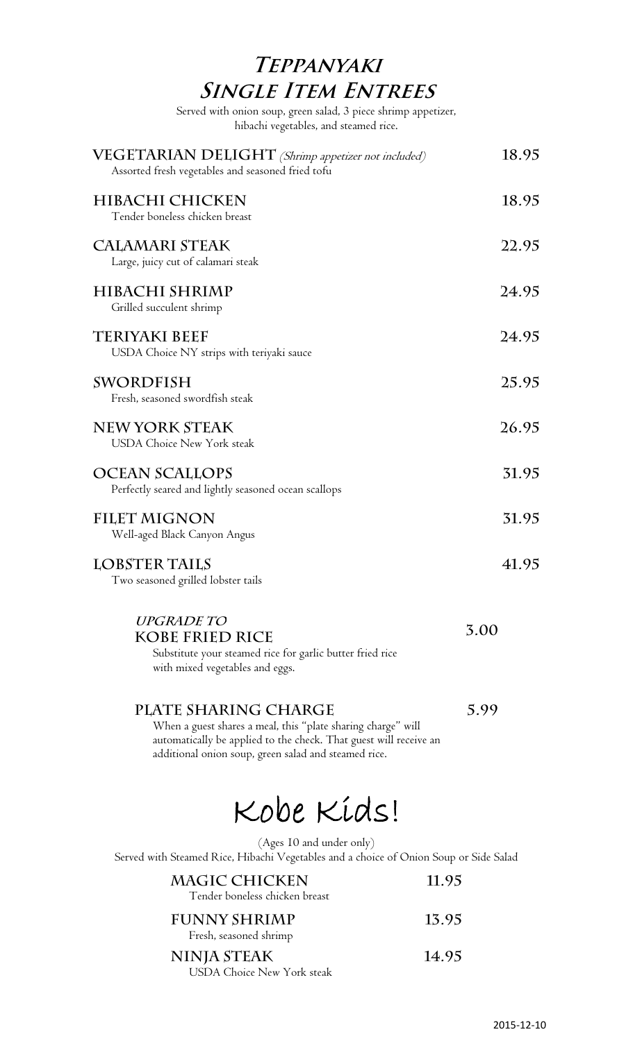# **Teppanyaki SINGLE ITEM ENTREES**

Served with onion soup, green salad, 3 piece shrimp appetizer, hibachi vegetables, and steamed rice.

| VEGETARIAN DELIGHT (Shrimp appetizer not included)<br>Assorted fresh vegetables and seasoned fried tofu                                                                                                           | 18.95 |
|-------------------------------------------------------------------------------------------------------------------------------------------------------------------------------------------------------------------|-------|
| HIBACHI CHICKEN<br>Tender boneless chicken breast                                                                                                                                                                 | 18.95 |
| <b>CALAMARI STEAK</b><br>Large, juicy cut of calamari steak                                                                                                                                                       | 22.95 |
| HIBACHI SHRIMP<br>Grilled succulent shrimp                                                                                                                                                                        | 24.95 |
| <b>TERIYAKI BEEF</b><br>USDA Choice NY strips with teriyaki sauce                                                                                                                                                 | 24.95 |
| <b>SWORDFISH</b><br>Fresh, seasoned swordfish steak                                                                                                                                                               | 25.95 |
| <b>NEW YORK STEAK</b><br><b>USDA Choice New York steak</b>                                                                                                                                                        | 26.95 |
| <b>OCEAN SCALLOPS</b><br>Perfectly seared and lightly seasoned ocean scallops                                                                                                                                     | 31.95 |
| <b>FILET MIGNON</b><br>Well-aged Black Canyon Angus                                                                                                                                                               | 31.95 |
| <b>LOBSTER TAILS</b><br>Two seasoned grilled lobster tails                                                                                                                                                        | 41.95 |
| <b>UPGRADE TO</b><br>KOBE FRIED RICE<br>Substitute your steamed rice for garlic butter fried rice<br>with mixed vegetables and eggs.                                                                              | 3.00  |
| PLATE SHARING CHARGE<br>When a guest shares a meal, this "plate sharing charge" will<br>automatically be applied to the check. That guest will receive an<br>additional onion soup, green salad and steamed rice. | 5.99  |
|                                                                                                                                                                                                                   |       |

Kobe Kids!

(Ages 10 and under only)

Served with Steamed Rice, Hibachi Vegetables and a choice of Onion Soup or Side Salad

| <b>MAGIC CHICKEN</b><br>Tender boneless chicken breast  | 11.95 |
|---------------------------------------------------------|-------|
| <b>FUNNY SHRIMP</b><br>Fresh, seasoned shrimp           | 13.95 |
| <b>NINJA STEAK</b><br><b>USDA Choice New York steak</b> | 14.95 |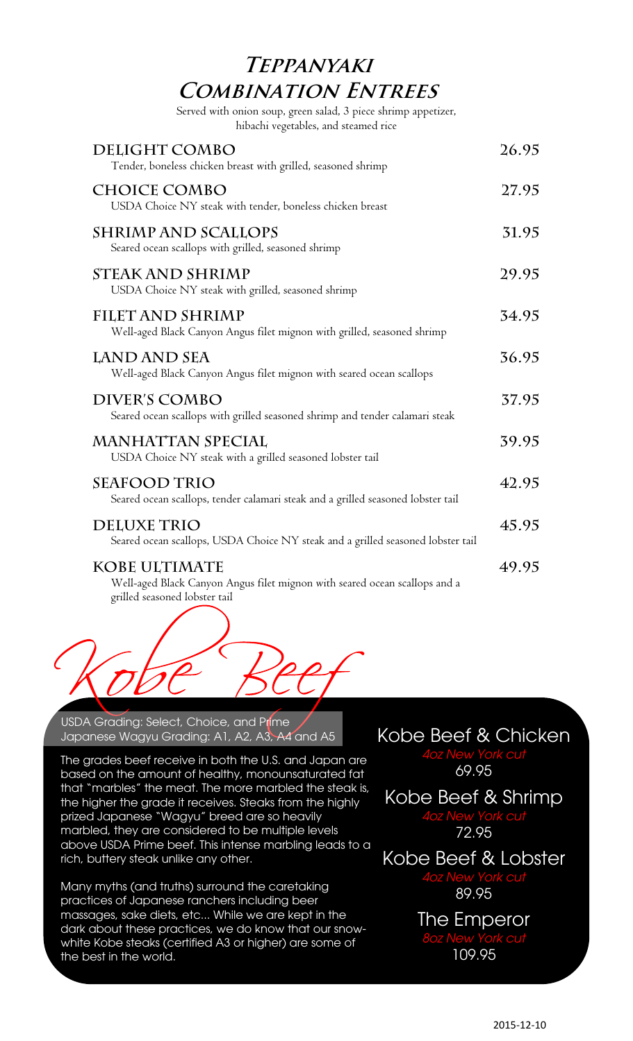# **Teppanyaki Combination Entrees**

Served with onion soup, green salad, 3 piece shrimp appetizer, hibachi vegetables, and steamed rice

| DELIGHT COMBO<br>Tender, boneless chicken breast with grilled, seasoned shrimp                                               | 26.95 |
|------------------------------------------------------------------------------------------------------------------------------|-------|
| <b>CHOICE COMBO</b><br>USDA Choice NY steak with tender, boneless chicken breast                                             | 27.95 |
| <b>SHRIMP AND SCALLOPS</b><br>Seared ocean scallops with grilled, seasoned shrimp                                            | 31.95 |
| <b>STEAK AND SHRIMP</b><br>USDA Choice NY steak with grilled, seasoned shrimp                                                | 29.95 |
| <b>FILET AND SHRIMP</b><br>Well-aged Black Canyon Angus filet mignon with grilled, seasoned shrimp                           | 34.95 |
| LAND AND SEA<br>Well-aged Black Canyon Angus filet mignon with seared ocean scallops                                         | 36.95 |
| <b>DIVER'S COMBO</b><br>Seared ocean scallops with grilled seasoned shrimp and tender calamari steak                         | 37.95 |
| <b>MANHATTAN SPECIAL</b><br>USDA Choice NY steak with a grilled seasoned lobster tail                                        | 39.95 |
| <b>SEAFOOD TRIO</b><br>Seared ocean scallops, tender calamari steak and a grilled seasoned lobster tail                      | 42.95 |
| <b>DELUXE TRIO</b><br>Seared ocean scallops, USDA Choice NY steak and a grilled seasoned lobster tail                        | 45.95 |
| KOBE ULTIMATE<br>Well-aged Black Canyon Angus filet mignon with seared ocean scallops and a<br>grilled seasoned lobster tail | 49.95 |



USDA Grading: Select, Choice, and Prime Japanese Wagyu Grading: A1, A2, A3, A4 and A5 Kobe Beef & Chicken

The grades beef receive in both the U.S. and Japan are based on the amount of healthy, monounsaturated fat that "marbles" the meat. The more marbled the steak is, the higher the grade it receives. Steaks from the highly prized Japanese "Wagyu" breed are so heavily marbled, they are considered to be multiple levels above USDA Prime beef. This intense marbling leads to a rich, buttery steak unlike any other.

Many myths (and truths) surround the caretaking practices of Japanese ranchers including beer massages, sake diets, etc... While we are kept in the dark about these practices, we do know that our snowwhite Kobe steaks (certified A3 or higher) are some of the best in the world.

*4oz New York cut* 69.95

Kobe Beef & Shrimp *4oz New York cut* 72.95

Kobe Beef & Lobster *4oz New York cut* 89.95

> The Emperor *8oz New York cut* 109.95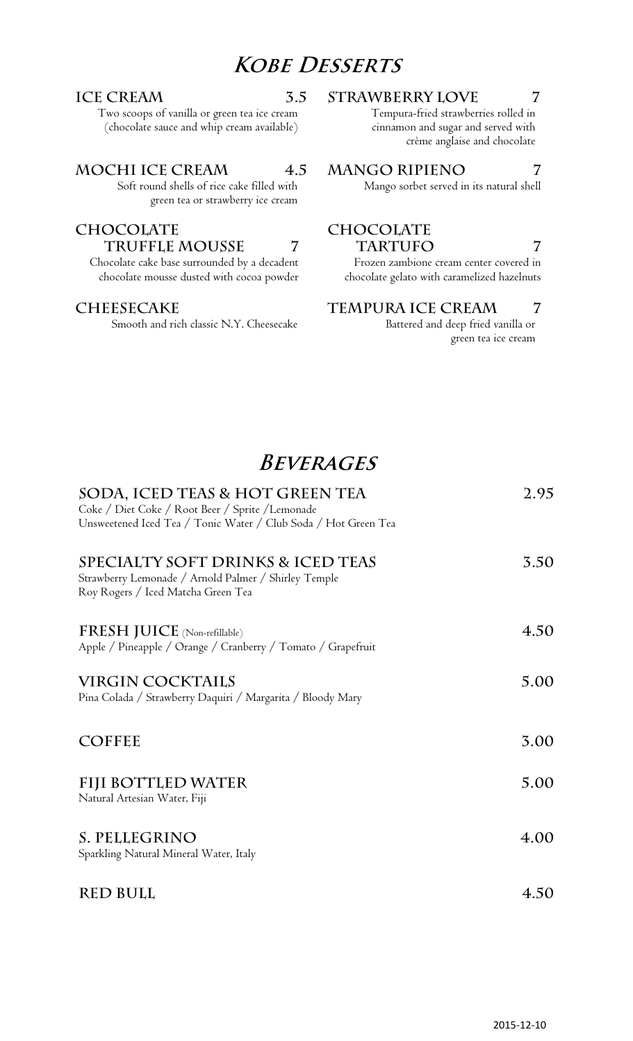# **Kobe Desserts**

Two scoops of vanilla or green tea ice cream (chocolate sauce and whip cream available)

### **Mochi Ice Cream 4.5 Mango Ripieno 7**

Soft round shells of rice cake filled with green tea or strawberry ice cream

### **Chocolate Truffle mousse 7**

Chocolate cake base surrounded by a decadent chocolate mousse dusted with cocoa powder

Smooth and rich classic N.Y. Cheesecake Battered and deep fried vanilla or

### **ICE CREAM 5.5 STRAWBERRY LOVE 7**

Tempura-fried strawberries rolled in cinnamon and sugar and served with crème anglaise and chocolate

Mango sorbet served in its natural shell

### **Chocolate**  TARTUFO 7

Frozen zambione cream center covered in chocolate gelato with caramelized hazelnuts

### **CHEESECAKE TEMPURA ICE CREAM 7**

green tea ice cream

# **Beverages**

| SODA, ICED TEAS & HOT GREEN TEA<br>Coke / Diet Coke / Root Beer / Sprite / Lemonade<br>Unsweetened Iced Tea / Tonic Water / Club Soda / Hot Green Tea | 2.95 |
|-------------------------------------------------------------------------------------------------------------------------------------------------------|------|
| SPECIALTY SOFT DRINKS & ICED TEAS<br>Strawberry Lemonade / Arnold Palmer / Shirley Temple<br>Roy Rogers / Iced Matcha Green Tea                       | 3.50 |
| FRESH JUICE (Non-refillable)<br>Apple / Pineapple / Orange / Cranberry / Tomato / Grapefruit                                                          | 4.50 |
| <b>VIRGIN COCKTAILS</b><br>Pina Colada / Strawberry Daquiri / Margarita / Bloody Mary                                                                 | 5.00 |
| <b>COFFEE</b>                                                                                                                                         | 3.00 |
| FIJI BOTTLED WATER<br>Natural Artesian Water, Fiji                                                                                                    | 5.00 |
| S. PELLEGRINO<br>Sparkling Natural Mineral Water, Italy                                                                                               | 4.00 |
| <b>RED BULL</b>                                                                                                                                       | 4.50 |